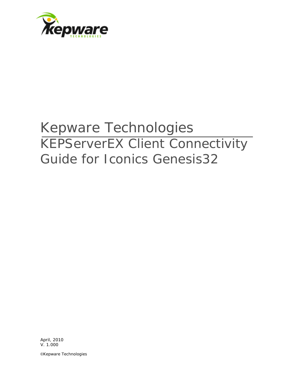

# Kepware Technologies KEPServerEX Client Connectivity Guide for Iconics Genesis32

April, 2010 V. 1.000

©Kepware Technologies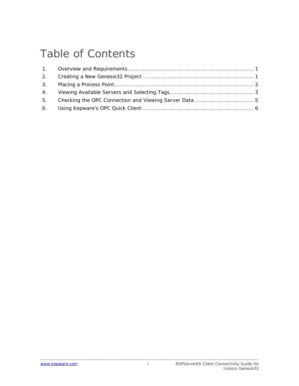# Table of Contents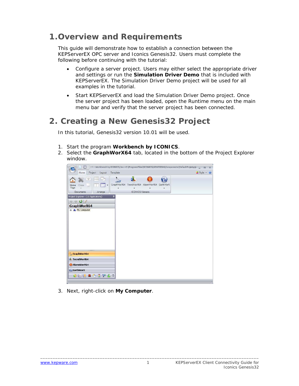#### <span id="page-2-0"></span>**1.Overview and Requirements**

This guide will demonstrate how to establish a connection between the KEPServerEX OPC server and Iconics Genesis32. Users must complete the following before continuing with the tutorial:

- Configure a server project. Users may either select the appropriate driver and settings or run the **Simulation Driver Demo** that is included with KEPServerEX. The Simulation Driver Demo project will be used for all examples in the tutorial.
- Start KEPServerEX and load the Simulation Driver Demo project. Once the server project has been loaded, open the Runtime menu on the main menu bar and verify that the server project has been connected.

#### **2. Creating a New Genesis32 Project**

In this tutorial, Genesis32 version 10.01 will be used.

- 1. Start the program **Workbench by ICONICS**.
- 2. Select the **GraphWorX64** tab, located in the bottom of the Project Explorer window.



3. Next, right-click on **My Computer**.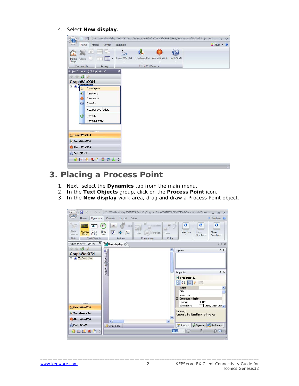<span id="page-3-0"></span>4. Select **New display**.

| ٣                                                      | √ Workbench by ICONICS, Inc. - C:\Program Files\ICONICS\GENESIS64\Components\DefaultProject.prjx | $\times$                            |
|--------------------------------------------------------|--------------------------------------------------------------------------------------------------|-------------------------------------|
| Home<br>Project<br>Layout                              | Template                                                                                         | $\frac{1}{2}$ Style $\sim$ $\omega$ |
| 증<br>Home<br>Close<br>$\overline{\phantom{a}}$<br>Page | GraphWorX64 TrendWorX64 AlarmWorX64<br>EarthWorX                                                 |                                     |
| <b>Documents</b><br>Arrange                            | <b>ICONICS Viewers</b>                                                                           |                                     |
| Project Explorer - (15 Applications)                   | $\mathbf{u}$                                                                                     |                                     |
| $\Leftrightarrow$ $\bullet$ $\vee$                     |                                                                                                  |                                     |
| GraphWorX64                                            |                                                                                                  |                                     |
| 田内<br>New display<br>⊵                                 |                                                                                                  |                                     |
| New trend<br>d.                                        |                                                                                                  |                                     |
| New alarms                                             |                                                                                                  |                                     |
| Θ<br>New Gis                                           |                                                                                                  |                                     |
| Add/Remove folders                                     |                                                                                                  |                                     |
| Refresh<br>$\mathbf{C}$                                |                                                                                                  |                                     |
| Refresh Parent                                         |                                                                                                  |                                     |
|                                                        |                                                                                                  |                                     |
| *********                                              |                                                                                                  |                                     |
| GraphWorX64                                            |                                                                                                  |                                     |
| TrendWorX64                                            |                                                                                                  |                                     |
| AlarmWorX64                                            |                                                                                                  |                                     |
| EarthWorX                                              |                                                                                                  |                                     |
| <b>NAME!</b><br>8 Y &<br>$\mathbf{r}$                  | $\ddot{\tilde{z}}$                                                                               |                                     |
|                                                        |                                                                                                  | $\pm 2$                             |

## **3. Placing a Process Point**

- 1. Next, select the **Dynamics** tab from the main menu.
- 2. In the **Text Objects** group, click on the **Process Point** icon.
- 3. In the **New display** work area, drag and draw a Process Point object.

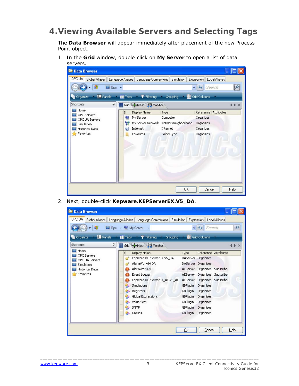#### <span id="page-4-0"></span>**4.Viewing Available Servers and Selecting Tags**

The **Data Browser** will appear immediately after placement of the new Process Point object.

1. In the **Grid** window, double-click on **My Server** to open a list of data



2. Next, double-click **Kepware.KEPServerEX.V5\_DA**.

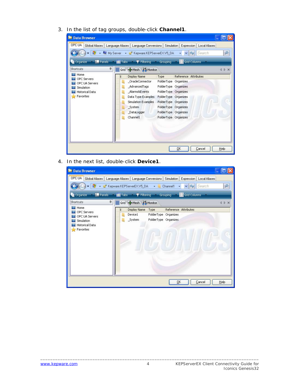3. In the list of tag groups, double-click **Channel1**.



4. In the next list, double-click **Device1**.

| <b>En Data Browser</b>                                                                     |                                                                                                                                                                                                                                                                               |                 |  |  |  |  |  |
|--------------------------------------------------------------------------------------------|-------------------------------------------------------------------------------------------------------------------------------------------------------------------------------------------------------------------------------------------------------------------------------|-----------------|--|--|--|--|--|
| OPC UA<br>卿<br>$\frac{1}{2}$<br>Shortcuts                                                  | Global Aliases   Language Aliases   Language Conversions   Simulation   Expression   Local Aliases<br>$\vee$ $\downarrow$<br>* Kepware.KEPServerEX.V5_DA * Channel1<br>Search<br>÷<br>Organize Panels File Tabs Triltering Grouping Eligind Columns<br>Grid (++Mesh ) Monitor | ٩<br><b>IDX</b> |  |  |  |  |  |
| Home<br>OPC Servers<br>OPC UA Servers<br>Simulation<br><b>Historical Data</b><br>Favorites | Reference Attributes<br>Display Name Type<br>Device1<br>FolderType Organizes<br>System<br>FolderType Organizes                                                                                                                                                                |                 |  |  |  |  |  |
|                                                                                            | Cancel<br><b>DK</b><br>Help                                                                                                                                                                                                                                                   |                 |  |  |  |  |  |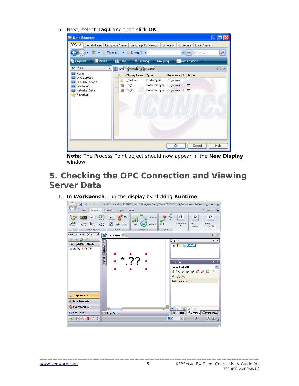<span id="page-6-0"></span>5. Next, select **Tag1** and then click **OK**.



**Note:** The Process Point object should now appear in the **New Display** window.

## **5. Checking the OPC Connection and Viewing Server Data**

1. In **Workbench**, run the display by clicking **Runtime**.